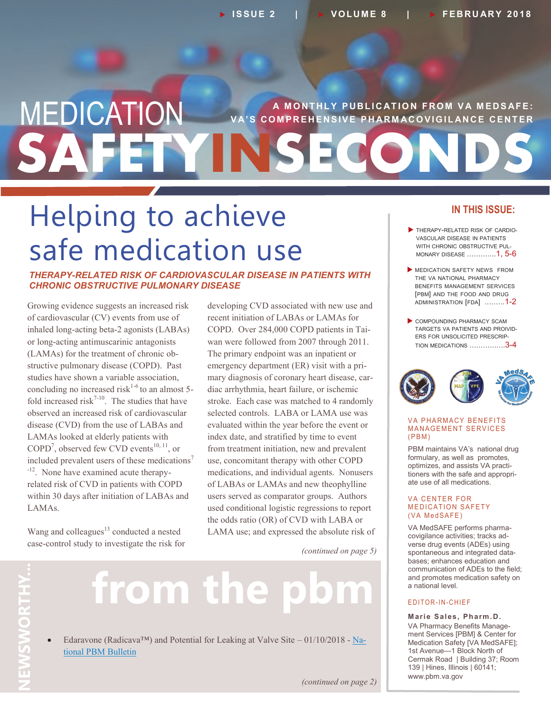## **SAFETYINSECONDS MEDICATION** VA'S COMPREHENSIVE PHARMACOVIGILANCE CENTER **V A' S C O M P R E H E N S I V E P H AR M AC O V I G I L AN C E C E N T E R**

# Helping to achieve safe medication use

*THERAPY-RELATED RISK OF CARDIOVASCULAR DISEASE IN PATIENTS WITH CHRONIC OBSTRUCTIVE PULMONARY DISEASE*

Growing evidence suggests an increased risk of cardiovascular (CV) events from use of inhaled long-acting beta-2 agonists (LABAs) or long-acting antimuscarinic antagonists (LAMAs) for the treatment of chronic obstructive pulmonary disease (COPD). Past studies have shown a variable association, concluding no increased risk $1-6$  to an almost 5fold increased risk<sup>7-10</sup>. The studies that have observed an increased risk of cardiovascular disease (CVD) from the use of LABAs and LAMAs looked at elderly patients with  $COPD<sup>7</sup>$ , observed few CVD events<sup>10, 11</sup>, or included prevalent users of these medications<sup>7</sup> -<sup>12</sup>. None have examined acute therapyrelated risk of CVD in patients with COPD within 30 days after initiation of LABAs and LAMAs.

Wang and colleagues<sup>13</sup> conducted a nested case-control study to investigate the risk for developing CVD associated with new use and recent initiation of LABAs or LAMAs for COPD. Over 284,000 COPD patients in Taiwan were followed from 2007 through 2011. The primary endpoint was an inpatient or emergency department (ER) visit with a primary diagnosis of coronary heart disease, cardiac arrhythmia, heart failure, or ischemic stroke. Each case was matched to 4 randomly selected controls. LABA or LAMA use was evaluated within the year before the event or index date, and stratified by time to event from treatment initiation, new and prevalent use, concomitant therapy with other COPD medications, and individual agents. Nonusers of LABAs or LAMAs and new theophylline users served as comparator groups. Authors used conditional logistic regressions to report the odds ratio (OR) of CVD with LABA or LAMA use; and expressed the absolute risk of

*(continued on page 5)*

# from the p

Edaravone (Radicava<sup>™</sup>) and Potential for Leaking at Valve Site – 01/10/2018 - [Na](https://www.pbm.va.gov/PBM/vacenterformedicationsafety/EdaravoneRadicavaandPotentialforLeakingatValveSiteNATIONALPBMBULLETINFINAL011018withdisclaimer.pdf)[tional PBM Bulletin](https://www.pbm.va.gov/PBM/vacenterformedicationsafety/EdaravoneRadicavaandPotentialforLeakingatValveSiteNATIONALPBMBULLETINFINAL011018withdisclaimer.pdf)

#### **IN THIS ISSUE:**

- THERAPY-RELATED RISK OF CARDIO-VASCULAR DISEASE IN PATIENTS WITH CHRONIC OBSTRUCTIVE PUL-MONARY DISEASE ………….1, 5-6
- MEDICATION SAFETY NEWS FROM THE VA NATIONAL PHARMACY BENEFITS MANAGEMENT SERVICES [PBM] AND THE FOOD AND DRUG ADMINISTRATION [FDA] .……..1-2
- COMPOUNDING PHARMACY SCAM TARGETS VA PATIENTS AND PROIVID-ERS FOR UNSOLICITED PRESCRIP-TION MEDICATIONS …………….3-4



#### **VA PHARMACY BENEFITS MANAGEMENT SERVICES**  $(PBM)$

PBM maintains VA's national drug formulary, as well as promotes, optimizes, and assists VA practitioners with the safe and appropriate use of all medications.

#### **VA CENTER FOR MEDICATION SAFETY** (VA MedSAFE)

VA MedSAFE performs pharmacovigilance activities; tracks adverse drug events (ADEs) using spontaneous and integrated databases; enhances education and communication of ADEs to the field; and promotes medication safety on a national level.

#### E D I T O R - I N - C H I E F

**Marie Sales, Pharm.D.** VA Pharmacy Benefits Management Services [PBM] & Center for Medication Safety [VA MedSAFE]; 1st Avenue—1 Block North of Cermak Road | Building 37; Room 139 | Hines, Illinois | 60141; www.pbm.va.gov

#### *(continued on page 2)*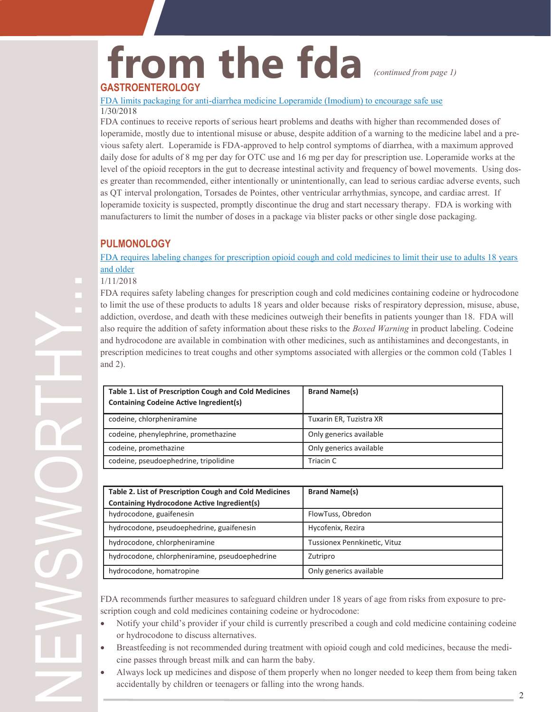### **from the fda GASTROENTEROLOGY**

*(continued from page 1)*

FDA limits packaging for anti-[diarrhea medicine Loperamide \(Imodium\) to encourage safe use](https://www.fda.gov/Drugs/DrugSafety/ucm594232.htm) 1/30/2018

FDA continues to receive reports of serious heart problems and deaths with higher than recommended doses of loperamide, mostly due to intentional misuse or abuse, despite addition of a warning to the medicine label and a previous safety alert. Loperamide is FDA-approved to help control symptoms of diarrhea, with a maximum approved daily dose for adults of 8 mg per day for OTC use and 16 mg per day for prescription use. Loperamide works at the level of the opioid receptors in the gut to decrease intestinal activity and frequency of bowel movements. Using doses greater than recommended, either intentionally or unintentionally, can lead to serious cardiac adverse events, such as QT interval prolongation, Torsades de Pointes, other ventricular arrhythmias, syncope, and cardiac arrest. If loperamide toxicity is suspected, promptly discontinue the drug and start necessary therapy. FDA is working with manufacturers to limit the number of doses in a package via blister packs or other single dose packaging.

#### **PULMONOLOGY**

[FDA requires labeling changes for prescription opioid cough and cold medicines to limit their use to adults 18 years](https://www.fda.gov/Drugs/DrugSafety/ucm590435.htm)  [and older](https://www.fda.gov/Drugs/DrugSafety/ucm590435.htm)

#### 1/11/2018

FDA requires safety labeling changes for prescription cough and cold medicines containing codeine or hydrocodone to limit the use of these products to adults 18 years and older because risks of respiratory depression, misuse, abuse, addiction, overdose, and death with these medicines outweigh their benefits in patients younger than 18. FDA will also require the addition of safety information about these risks to the *Boxed Warning* in product labeling. Codeine and hydrocodone are available in combination with other medicines, such as antihistamines and decongestants, in prescription medicines to treat coughs and other symptoms associated with allergies or the common cold (Tables 1 and 2).

| Table 1. List of Prescription Cough and Cold Medicines<br><b>Containing Codeine Active Ingredient(s)</b> | <b>Brand Name(s)</b>    |
|----------------------------------------------------------------------------------------------------------|-------------------------|
| codeine, chlorpheniramine                                                                                | Tuxarin ER, Tuzistra XR |
| codeine, phenylephrine, promethazine                                                                     | Only generics available |
| codeine, promethazine                                                                                    | Only generics available |
| codeine, pseudoephedrine, tripolidine                                                                    | Triacin C               |

| Table 2. List of Prescription Cough and Cold Medicines<br><b>Containing Hydrocodone Active Ingredient(s)</b> | <b>Brand Name(s)</b>         |
|--------------------------------------------------------------------------------------------------------------|------------------------------|
| hydrocodone, guaifenesin                                                                                     | FlowTuss, Obredon            |
| hydrocodone, pseudoephedrine, guaifenesin                                                                    | Hycofenix, Rezira            |
| hydrocodone, chlorpheniramine                                                                                | Tussionex Pennkinetic, Vituz |
| hydrocodone, chlorpheniramine, pseudoephedrine                                                               | Zutripro                     |
| hydrocodone, homatropine                                                                                     | Only generics available      |

FDA recommends further measures to safeguard children under 18 years of age from risks from exposure to prescription cough and cold medicines containing codeine or hydrocodone:

- Notify your child's provider if your child is currently prescribed a cough and cold medicine containing codeine or hydrocodone to discuss alternatives.
- Breastfeeding is not recommended during treatment with opioid cough and cold medicines, because the medicine passes through breast milk and can harm the baby.
- Always lock up medicines and dispose of them properly when no longer needed to keep them from being taken accidentally by children or teenagers or falling into the wrong hands.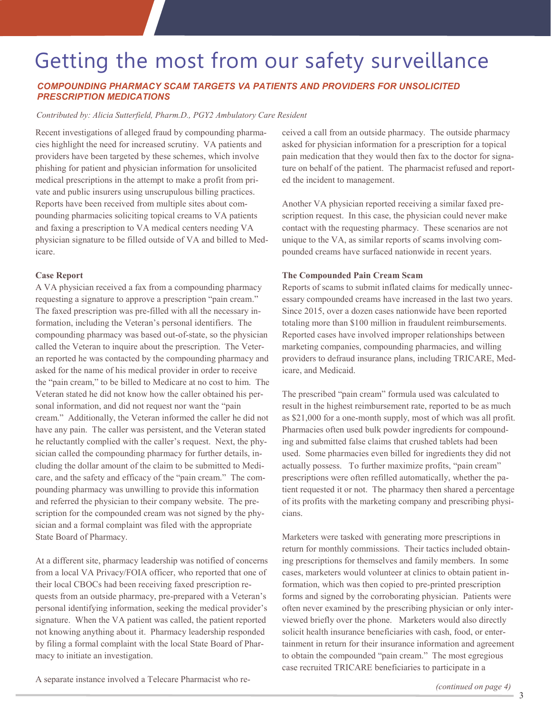### Getting the most from our safety surveillance

#### *COMPOUNDING PHARMACY SCAM TARGETS VA PATIENTS AND PROVIDERS FOR UNSOLICITED PRESCRIPTION MEDICATIONS*

#### *Contributed by: Alicia Sutterfield, Pharm.D., PGY2 Ambulatory Care Resident*

Recent investigations of alleged fraud by compounding pharmacies highlight the need for increased scrutiny. VA patients and providers have been targeted by these schemes, which involve phishing for patient and physician information for unsolicited medical prescriptions in the attempt to make a profit from private and public insurers using unscrupulous billing practices. Reports have been received from multiple sites about compounding pharmacies soliciting topical creams to VA patients and faxing a prescription to VA medical centers needing VA physician signature to be filled outside of VA and billed to Medicare.

#### **Case Report**

A VA physician received a fax from a compounding pharmacy requesting a signature to approve a prescription "pain cream." The faxed prescription was pre-filled with all the necessary information, including the Veteran's personal identifiers. The compounding pharmacy was based out-of-state, so the physician called the Veteran to inquire about the prescription. The Veteran reported he was contacted by the compounding pharmacy and asked for the name of his medical provider in order to receive the "pain cream," to be billed to Medicare at no cost to him. The Veteran stated he did not know how the caller obtained his personal information, and did not request nor want the "pain cream." Additionally, the Veteran informed the caller he did not have any pain. The caller was persistent, and the Veteran stated he reluctantly complied with the caller's request. Next, the physician called the compounding pharmacy for further details, including the dollar amount of the claim to be submitted to Medicare, and the safety and efficacy of the "pain cream." The compounding pharmacy was unwilling to provide this information and referred the physician to their company website. The prescription for the compounded cream was not signed by the physician and a formal complaint was filed with the appropriate State Board of Pharmacy.

At a different site, pharmacy leadership was notified of concerns from a local VA Privacy/FOIA officer, who reported that one of their local CBOCs had been receiving faxed prescription requests from an outside pharmacy, pre-prepared with a Veteran's personal identifying information, seeking the medical provider's signature. When the VA patient was called, the patient reported not knowing anything about it. Pharmacy leadership responded by filing a formal complaint with the local State Board of Pharmacy to initiate an investigation.

ceived a call from an outside pharmacy. The outside pharmacy asked for physician information for a prescription for a topical pain medication that they would then fax to the doctor for signature on behalf of the patient. The pharmacist refused and reported the incident to management.

Another VA physician reported receiving a similar faxed prescription request. In this case, the physician could never make contact with the requesting pharmacy. These scenarios are not unique to the VA, as similar reports of scams involving compounded creams have surfaced nationwide in recent years.

#### **The Compounded Pain Cream Scam**

Reports of scams to submit inflated claims for medically unnecessary compounded creams have increased in the last two years. Since 2015, over a dozen cases nationwide have been reported totaling more than \$100 million in fraudulent reimbursements. Reported cases have involved improper relationships between marketing companies, compounding pharmacies, and willing providers to defraud insurance plans, including TRICARE, Medicare, and Medicaid.

The prescribed "pain cream" formula used was calculated to result in the highest reimbursement rate, reported to be as much as \$21,000 for a one-month supply, most of which was all profit. Pharmacies often used bulk powder ingredients for compounding and submitted false claims that crushed tablets had been used. Some pharmacies even billed for ingredients they did not actually possess. To further maximize profits, "pain cream" prescriptions were often refilled automatically, whether the patient requested it or not. The pharmacy then shared a percentage of its profits with the marketing company and prescribing physicians.

Marketers were tasked with generating more prescriptions in return for monthly commissions. Their tactics included obtaining prescriptions for themselves and family members. In some cases, marketers would volunteer at clinics to obtain patient information, which was then copied to pre-printed prescription forms and signed by the corroborating physician. Patients were often never examined by the prescribing physician or only interviewed briefly over the phone. Marketers would also directly solicit health insurance beneficiaries with cash, food, or entertainment in return for their insurance information and agreement to obtain the compounded "pain cream." The most egregious case recruited TRICARE beneficiaries to participate in a

A separate instance involved a Telecare Pharmacist who re-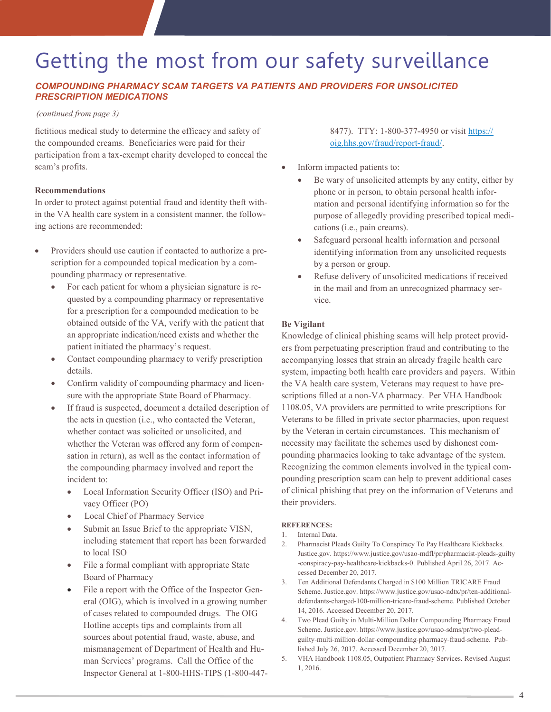### Getting the most from our safety surveillance

#### *COMPOUNDING PHARMACY SCAM TARGETS VA PATIENTS AND PROVIDERS FOR UNSOLICITED PRESCRIPTION MEDICATIONS*

#### *(continued from page 3)*

fictitious medical study to determine the efficacy and safety of the compounded creams. Beneficiaries were paid for their participation from a tax-exempt charity developed to conceal the scam's profits.

#### **Recommendations**

In order to protect against potential fraud and identity theft within the VA health care system in a consistent manner, the following actions are recommended:

- Providers should use caution if contacted to authorize a prescription for a compounded topical medication by a compounding pharmacy or representative.
	- For each patient for whom a physician signature is requested by a compounding pharmacy or representative for a prescription for a compounded medication to be obtained outside of the VA, verify with the patient that an appropriate indication/need exists and whether the patient initiated the pharmacy's request.
	- Contact compounding pharmacy to verify prescription details.
	- Confirm validity of compounding pharmacy and licensure with the appropriate State Board of Pharmacy.
	- If fraud is suspected, document a detailed description of the acts in question (i.e., who contacted the Veteran, whether contact was solicited or unsolicited, and whether the Veteran was offered any form of compensation in return), as well as the contact information of the compounding pharmacy involved and report the incident to:
		- Local Information Security Officer (ISO) and Privacy Officer (PO)
		- Local Chief of Pharmacy Service
		- Submit an Issue Brief to the appropriate VISN, including statement that report has been forwarded to local ISO
		- File a formal compliant with appropriate State Board of Pharmacy
		- File a report with the Office of the Inspector General (OIG), which is involved in a growing number of cases related to compounded drugs. The OIG Hotline accepts tips and complaints from all sources about potential fraud, waste, abuse, and mismanagement of Department of Health and Human Services' programs. Call the Office of the Inspector General at 1-800-HHS-TIPS (1-800-447-

8477). TTY: 1-800-377-4950 or visit [https://](https://oig.hhs.gov/fraud/report-fraud/) [oig.hhs.gov/fraud/report](https://oig.hhs.gov/fraud/report-fraud/)-fraud/.

- Inform impacted patients to:
	- Be wary of unsolicited attempts by any entity, either by phone or in person, to obtain personal health information and personal identifying information so for the purpose of allegedly providing prescribed topical medications (i.e., pain creams).
	- Safeguard personal health information and personal identifying information from any unsolicited requests by a person or group.
	- Refuse delivery of unsolicited medications if received in the mail and from an unrecognized pharmacy service.

#### **Be Vigilant**

Knowledge of clinical phishing scams will help protect providers from perpetuating prescription fraud and contributing to the accompanying losses that strain an already fragile health care system, impacting both health care providers and payers. Within the VA health care system, Veterans may request to have prescriptions filled at a non-VA pharmacy. Per VHA Handbook 1108.05, VA providers are permitted to write prescriptions for Veterans to be filled in private sector pharmacies, upon request by the Veteran in certain circumstances. This mechanism of necessity may facilitate the schemes used by dishonest compounding pharmacies looking to take advantage of the system. Recognizing the common elements involved in the typical compounding prescription scam can help to prevent additional cases of clinical phishing that prey on the information of Veterans and their providers.

#### **REFERENCES:**

- 1. Internal Data.
- 2. Pharmacist Pleads Guilty To Conspiracy To Pay Healthcare Kickbacks. Justice.gov. https://www.justice.gov/usao-mdfl/pr/pharmacist-pleads-guilty -conspiracy-pay-healthcare-kickbacks-0. Published April 26, 2017. Accessed December 20, 2017.
- 3. Ten Additional Defendants Charged in \$100 Million TRICARE Fraud Scheme. Justice.gov. https://www.justice.gov/usao-ndtx/pr/ten-additionaldefendants-charged-100-million-tricare-fraud-scheme. Published October 14, 2016. Accessed December 20, 2017.
- 4. Two Plead Guilty in Multi-Million Dollar Compounding Pharmacy Fraud Scheme. Justice.gov. https://www.justice.gov/usao-sdms/pr/two-pleadguilty-multi-million-dollar-compounding-pharmacy-fraud-scheme. Published July 26, 2017. Accessed December 20, 2017.
- 5. VHA Handbook 1108.05, Outpatient Pharmacy Services. Revised August 1, 2016.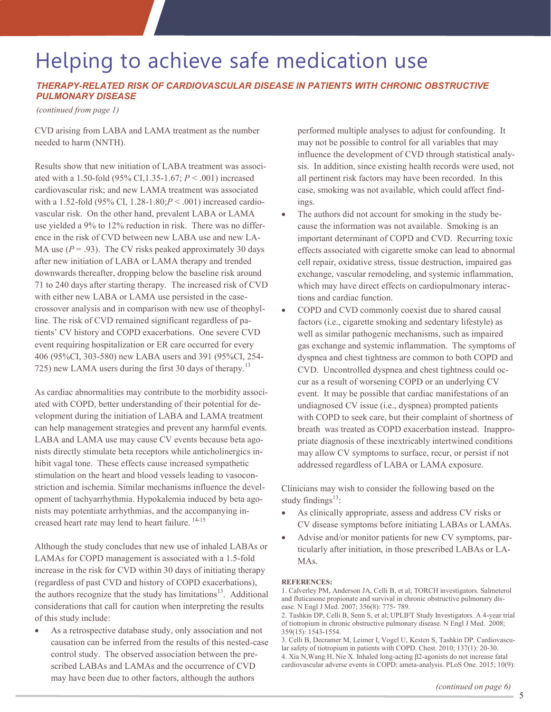### Helping to achieve safe medication use

#### *THERAPY-RELATED RISK OF CARDIOVASCULAR DISEASE IN PATIENTS WITH CHRONIC OBSTRUCTIVE PULMONARY DISEASE*

*(continued from page 1)*

CVD arising from LABA and LAMA treatment as the number needed to harm (NNTH).

Results show that new initiation of LABA treatment was associated with a 1.50-fold (95% CI,1.35-1.67; *P* < .001) increased cardiovascular risk; and new LAMA treatment was associated with a 1.52-fold (95% CI, 1.28-1.80;*P* < .001) increased cardiovascular risk. On the other hand, prevalent LABA or LAMA use yielded a 9% to 12% reduction in risk. There was no difference in the risk of CVD between new LABA use and new LA-MA use  $(P = .93)$ . The CV risks peaked approximately 30 days after new initiation of LABA or LAMA therapy and trended downwards thereafter, dropping below the baseline risk around 71 to 240 days after starting therapy. The increased risk of CVD with either new LABA or LAMA use persisted in the casecrossover analysis and in comparison with new use of theophylline. The risk of CVD remained significant regardless of patients' CV history and COPD exacerbations. One severe CVD event requiring hospitalization or ER care occurred for every 406 (95%CI, 303-580) new LABA users and 391 (95%CI, 254- 725) new LAMA users during the first 30 days of therapy.<sup>13</sup>

As cardiac abnormalities may contribute to the morbidity associated with COPD, better understanding of their potential for development during the initiation of LABA and LAMA treatment can help management strategies and prevent any harmful events. LABA and LAMA use may cause CV events because beta agonists directly stimulate beta receptors while anticholinergics inhibit vagal tone. These effects cause increased sympathetic stimulation on the heart and blood vessels leading to vasoconstriction and ischemia. Similar mechanisms influence the development of tachyarrhythmia. Hypokalemia induced by beta agonists may potentiate arrhythmias, and the accompanying increased heart rate may lend to heart failure. <sup>14-15</sup>

Although the study concludes that new use of inhaled LABAs or LAMAs for COPD management is associated with a 1.5-fold increase in the risk for CVD within 30 days of initiating therapy (regardless of past CVD and history of COPD exacerbations), the authors recognize that the study has limitations $13$ . Additional considerations that call for caution when interpreting the results of this study include:

 As a retrospective database study, only association and not causation can be inferred from the results of this nested-case control study. The observed association between the prescribed LABAs and LAMAs and the occurrence of CVD may have been due to other factors, although the authors

performed multiple analyses to adjust for confounding. It may not be possible to control for all variables that may influence the development of CVD through statistical analysis. In addition, since existing health records were used, not all pertinent risk factors may have been recorded. In this case, smoking was not available, which could affect findings.

- The authors did not account for smoking in the study because the information was not available. Smoking is an important determinant of COPD and CVD. Recurring toxic effects associated with cigarette smoke can lead to abnormal cell repair, oxidative stress, tissue destruction, impaired gas exchange, vascular remodeling, and systemic inflammation, which may have direct effects on cardiopulmonary interactions and cardiac function.
- COPD and CVD commonly coexist due to shared causal factors (i.e., cigarette smoking and sedentary lifestyle) as well as similar pathogenic mechanisms, such as impaired gas exchange and systemic inflammation. The symptoms of dyspnea and chest tightness are common to both COPD and CVD. Uncontrolled dyspnea and chest tightness could occur as a result of worsening COPD or an underlying CV event. It may be possible that cardiac manifestations of an undiagnosed CV issue (i.e., dyspnea) prompted patients with COPD to seek care, but their complaint of shortness of breath was treated as COPD exacerbation instead. Inappropriate diagnosis of these inextricably intertwined conditions may allow CV symptoms to surface, recur, or persist if not addressed regardless of LABA or LAMA exposure.

Clinicians may wish to consider the following based on the study findings $^{13}$ :

- As clinically appropriate, assess and address CV risks or CV disease symptoms before initiating LABAs or LAMAs.
- Advise and/or monitor patients for new CV symptoms, particularly after initiation, in those prescribed LABAs or LA-MAs.

#### **REFERENCES:**

1. Calverley PM, Anderson JA, Celli B, et al; TORCH investigators. Salmeterol and fluticasone propionate and survival in chronic obstructive pulmonary disease. N Engl J Med. 2007; 356(8): 775- 789.

2. Tashkin DP, Celli B, Senn S, et al; UPLIFT Study Investigators. A 4-year trial of tiotropium in chronic obstructive pulmonary disease. N Engl J Med. 2008; 359(15): 1543-1554.

3. Celli B, Decramer M, Leimer I, Vogel U, Kesten S, Tashkin DP. Cardiovascular safety of tiotropium in patients with COPD. Chest. 2010; 137(1): 20-30. 4. Xia N,Wang H, Nie X. Inhaled long-acting β2-agonists do not increase fatal cardiovascular adverse events in COPD: ameta-analysis. PLoS One. 2015; 10(9):